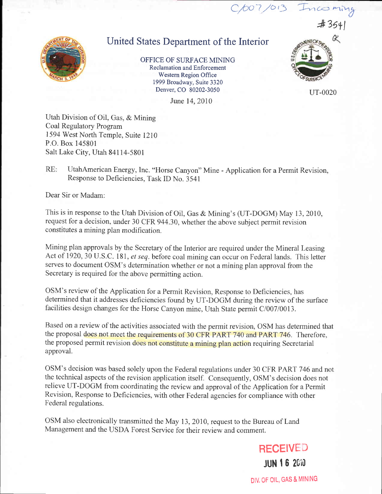

## United States Department of the Interior

OFFICE OF SURFACE MINING Reclamation and Enforcement Western Region Ofhce 1999 Broadway, Suite 3320 Denver, CO 80202-3050

June 14, 2010

Utah Division of Oil, Gas, & Mining Coal Regulatory Program 1594 West North Temple, Suite 1210 P.O. Box 145801 Salt Lake City, Utah 84114-5801

RE: UtahAmerican Energy, Inc. "Horse Canyon" Mine - Application for a Permit Revision, Response to Deficiencies, Task ID No. 3541

Dear Sir or Madam:

This is in response to the Utah Division of Oil, Gas & Mining's (UT-DOGM) May 13, 2010, request for a decision, under 30 CFR 944.30, whether the above subject permit revision constitutes a mining plan modification.

Mining plan approvals by the Secretary of the Interior are required under the Mineral Leasing Act of 1920, 30 U.S.C. 181, et seq. before coal mining can occur on Federal lands. This letter serves to document OSM's determination whether or not a mining plan approval from the Secretary is required for the above permitting action.

OSM's review of the Application for a Permit Revision, Response to Deficiencies, has determined that it addresses deficiencies found by UT-DOGM during the review of the surface facilities design changes for the Horse Canyon mine, Utah State permit C/007/0013.

Based on a review of the activities associated with the permit revision, OSM has determined that the proposal does not meet the requirements of 30 CFR PART 740 and PART 746. Therefore, the proposed permit revision does not constitute a mining plan action requiring Secretarial approval.

OSM's decision was based solely upon the Federal regulations under 30 CFR PART 746 and not the technical aspects of the revision application itself. Consequently, OSM's decision does not relieve UT-DOGM from coordinating the review and approval of the Application for a Permit Revision, Response to Deficiencies, with other Federal agencies for compliance with other Federal regulations.

OSM also electronically transmitted the May 13, 2010, request to the Bureau of Land Management and the USDA Forest Service for their review and comment.



uT-0020

\*35+l

 $C/007/013$  Incoming

DIV. OF OIL, GAS & MINING